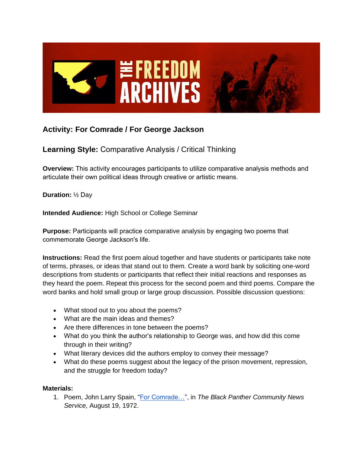

## **Activity: For Comrade / For George Jackson**

## **Learning Style:** Comparative Analysis / Critical Thinking

**Overview:** This activity encourages participants to utilize comparative analysis methods and articulate their own political ideas through creative or artistic means.

**Duration:** ½ Day

**Intended Audience:** High School or College Seminar

**Purpose:** Participants will practice comparative analysis by engaging two poems that commemorate George Jackson's life.

**Instructions:** Read the first poem aloud together and have students or participants take note of terms, phrases, or ideas that stand out to them. Create a word bank by soliciting one-word descriptions from students or participants that reflect their initial reactions and responses as they heard the poem. Repeat this process for the second poem and third poems. Compare the word banks and hold small group or large group discussion. Possible discussion questions:

- What stood out to you about the poems?
- What are the main ideas and themes?
- Are there differences in tone between the poems?
- What do you think the author's relationship to George was, and how did this come through in their writing?
- What literary devices did the authors employ to convey their message?
- What do these poems suggest about the legacy of the prison movement, repression, and the struggle for freedom today?

## **Materials:**

1. Poem, John Larry Spain, ["For Comrade…"](https://spaces.hightail.com/receive/K72AFEn125), in *The Black Panther Community News Service,* August 19, 1972.